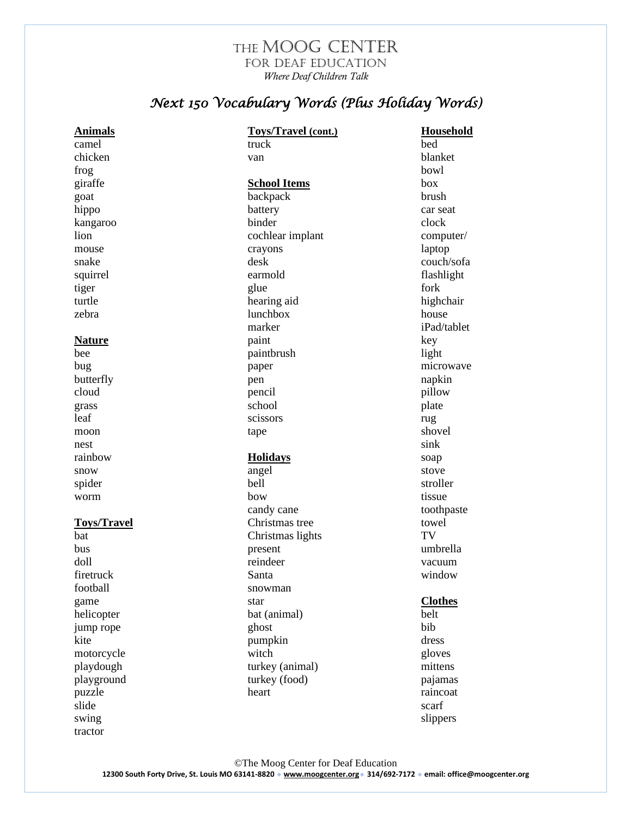## THE MOOG CENTER for Deaf Education *Where Deaf Children Talk*

## *Next 150 Vocabulary Words (Plus Holiday Words)*

| <b>Animals</b>     | <b>Toys/Travel (cont.)</b> | Household      |
|--------------------|----------------------------|----------------|
| camel              | truck                      | bed            |
| chicken            | van                        | blanket        |
| frog               |                            | bowl           |
| giraffe            | <b>School Items</b>        | box            |
| goat               | backpack                   | brush          |
| hippo              | battery                    | car seat       |
| kangaroo           | binder                     | clock          |
| lion               | cochlear implant           | computer/      |
| mouse              | crayons                    | laptop         |
| snake              | desk                       | couch/sofa     |
| squirrel           | earmold                    | flashlight     |
| tiger              | glue                       | fork           |
| turtle             | hearing aid                | highchair      |
| zebra              | <b>lunchbox</b>            | house          |
|                    | marker                     | iPad/tablet    |
| <b>Nature</b>      | paint                      | key            |
| bee                | paintbrush                 | light          |
| bug                | paper                      | microwave      |
| butterfly          | pen                        | napkin         |
| cloud              | pencil                     | pillow         |
| grass              | school                     | plate          |
| leaf               | scissors                   | rug            |
| moon               | tape                       | shovel         |
| nest               |                            | sink           |
| rainbow            | <b>Holidays</b>            | soap           |
| snow               | angel                      | stove          |
| spider             | bell                       | stroller       |
| worm               | bow                        | tissue         |
|                    | candy cane                 | toothpaste     |
| <b>Toys/Travel</b> | Christmas tree             | towel          |
| bat                | Christmas lights           | TV             |
| bus                | present                    | umbrella       |
| doll               | reindeer                   | vacuum         |
| firetruck          | Santa                      | window         |
| football           | snowman                    |                |
| game               | star                       | <b>Clothes</b> |
| helicopter         | bat (animal)               | belt           |
| jump rope          | ghost                      | bib            |
| kite               | pumpkin                    | dress          |
| motorcycle         | witch                      | gloves         |
| playdough          | turkey (animal)            | mittens        |
| playground         | turkey (food)              | pajamas        |
| puzzle             | heart                      | raincoat       |
| slide              |                            | scarf          |
| swing              |                            | slippers       |

tractor